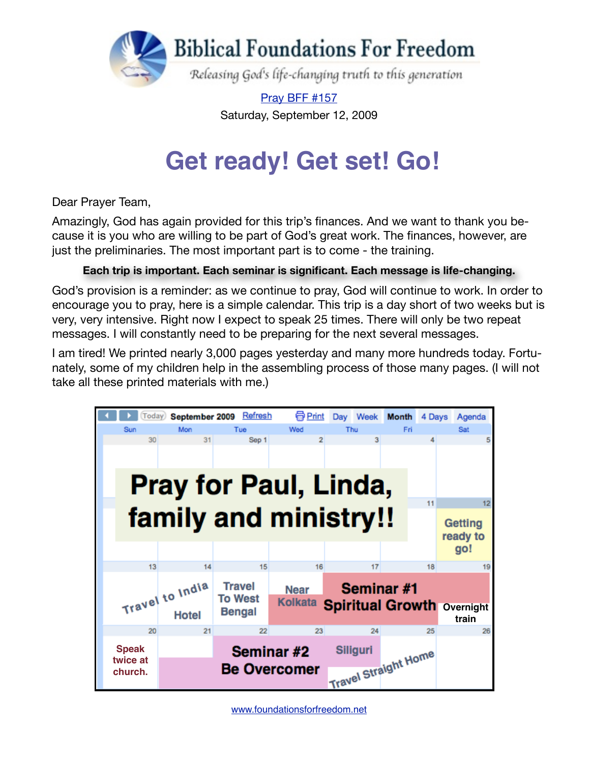

[Pray BFF #157](http://www.foundationsforfreedom.net/Help/TeamsF/Pray/Archives/Pray2009/pdf/PrayBFF157.pdf) Saturday, September 12, 2009

## **Get ready! Get set! Go!**

Dear Prayer Team,

Amazingly, God has again provided for this trip's finances. And we want to thank you because it is you who are willing to be part of God's great work. The finances, however, are just the preliminaries. The most important part is to come - the training.

## **Each trip is important. Each seminar is significant. Each message is life-changing.**

God's provision is a reminder: as we continue to pray, God will continue to work. In order to encourage you to pray, here is a simple calendar. This trip is a day short of two weeks but is very, very intensive. Right now I expect to speak 25 times. There will only be two repeat messages. I will constantly need to be preparing for the next several messages.

I am tired! We printed nearly 3,000 pages yesterday and many more hundreds today. Fortunately, some of my children help in the assembling process of those many pages. (I will not take all these printed materials with me.)